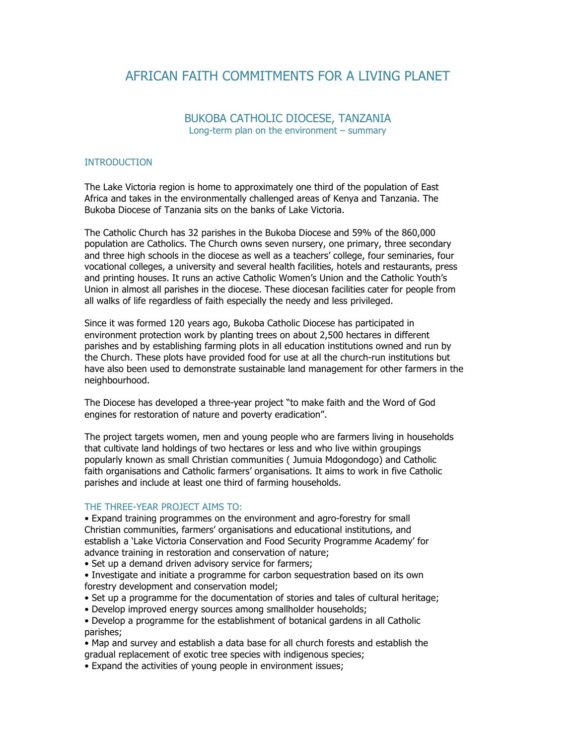# AFRICAN FAITH COMMITMENTS FOR A LIVING PLANET

## BUKOBA CATHOLIC DIOCESE, TANZANIA Long-term plan on the environment – summary

### **INTRODUCTION**

The Lake Victoria region is home to approximately one third of the population of East Africa and takes in the environmentally challenged areas of Kenya and Tanzania. The Bukoba Diocese of Tanzania sits on the banks of Lake Victoria.

The Catholic Church has 32 parishes in the Bukoba Diocese and 59% of the 860,000 population are Catholics. The Church owns seven nursery, one primary, three secondary and three high schools in the diocese as well as a teachers' college, four seminaries, four vocational colleges, a university and several health facilities, hotels and restaurants, press and printing houses. It runs an active Catholic Women's Union and the Catholic Youth's Union in almost all parishes in the diocese. These diocesan facilities cater for people from all walks of life regardless of faith especially the needy and less privileged.

Since it was formed 120 years ago, Bukoba Catholic Diocese has participated in environment protection work by planting trees on about 2,500 hectares in different parishes and by establishing farming plots in all education institutions owned and run by the Church. These plots have provided food for use at all the church-run institutions but have also been used to demonstrate sustainable land management for other farmers in the neighbourhood.

The Diocese has developed a three-year project "to make faith and the Word of God engines for restoration of nature and poverty eradication".

The project targets women, men and young people who are farmers living in households that cultivate land holdings of two hectares or less and who live within groupings popularly known as small Christian communities ( Jumuia Mdogondogo) and Catholic faith organisations and Catholic farmers' organisations. It aims to work in five Catholic parishes and include at least one third of farming households.

#### THE THREE-YEAR PROJECT AIMS TO:

• Expand training programmes on the environment and agro-forestry for small Christian communities, farmers' organisations and educational institutions, and establish a 'Lake Victoria Conservation and Food Security Programme Academy' for advance training in restoration and conservation of nature;

• Set up a demand driven advisory service for farmers;

• Investigate and initiate a programme for carbon sequestration based on its own forestry development and conservation model;

• Set up a programme for the documentation of stories and tales of cultural heritage;

• Develop improved energy sources among smallholder households;

• Develop a programme for the establishment of botanical gardens in all Catholic parishes;

• Map and survey and establish a data base for all church forests and establish the gradual replacement of exotic tree species with indigenous species;

• Expand the activities of young people in environment issues;